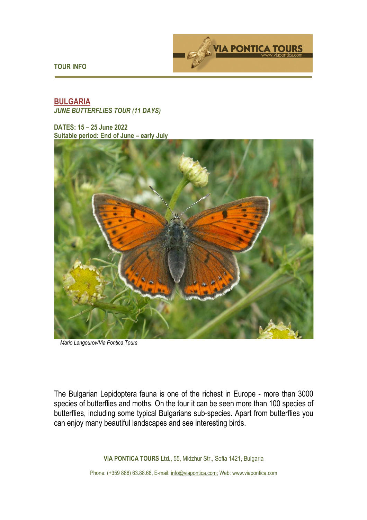

**TOUR INFO** 

# **BULGARIA**  *JUNE BUTTERFLIES TOUR (11 DAYS)*

**DATES: 15 – 25 June 2022 Suitable period: End of June – early July** 



 *Mario Langourov/Via Pontica Tours*

The Bulgarian Lepidoptera fauna is one of the richest in Europe - more than 3000 species of butterflies and moths. On the tour it can be seen more than 100 species of butterflies, including some typical Bulgarians sub-species. Apart from butterflies you can enjoy many beautiful landscapes and see interesting birds.

**VIA PONTICA TOURS Ltd.,** 55, Midzhur Str., Sofia 1421, Bulgaria

Phone: (+359 888) 63.88.68, E-mail: info@viapontica.com; Web: www.viapontica.com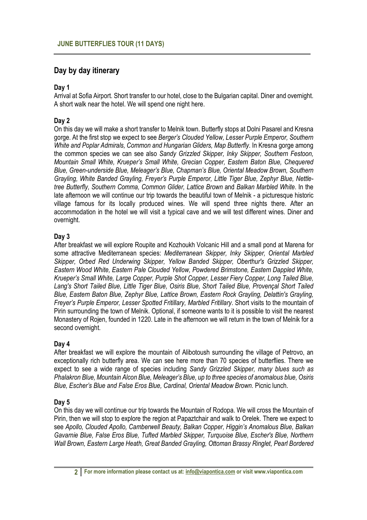# **Day by day itinerary**

#### **Day 1**

Arrival at Sofia Airport. Short transfer to our hotel, close to the Bulgarian capital. Diner and overnight. A short walk near the hotel. We will spend one night here.

## **Day 2**

On this day we will make a short transfer to Melnik town. Butterfly stops at Dolni Pasarel and Kresna gorge. At the first stop we expect to see *Berger's Clouded Yellow, Lesser Purple Emperor, Southern White and Poplar Admirals, Common and Hungarian Gliders, Map Butterfly*. In Kresna gorge among the common species we can see also *Sandy Grizzled Skipper, Inky Skipper, Southern Festoon, Mountain Small White, Krueper's Small White, Grecian Copper, Eastern Baton Blue, Chequered Blue, Green-underside Blue, Meleager's Blue, Chapman's Blue, Oriental Meadow Brown, Southern Grayling, White Banded Grayling, Freyer's Purple Emperor, Little Tiger Blue, Zephyr Blue, Nettletree Butterfly, Southern Comma, Common Glider, Lattice Brown* and *Balkan Marbled White*. In the late afternoon we will continue our trip towards the beautiful town of Melnik - a picturesque historic village famous for its locally produced wines. We will spend three nights there. After an accommodation in the hotel we will visit a typical cave and we will test different wines. Diner and overnight.

## **Day 3**

After breakfast we will explore Roupite and Kozhoukh Volcanic Hill and a small pond at Marena for some attractive Mediterranean species: *Mediterranean Skipper, Inky Skipper, Oriental Marbled Skipper, Orbed Red Underwing Skipper, Yellow Banded Skipper, Oberthur's Grizzled Skipper, Eastern Wood White, Eastern Pale Clouded Yellow, Powdered Brimstone, Eastern Dappled White, Krueper's Small White, Large Copper, Purple Shot Copper, Lesser Fiery Copper, Long Tailed Blue, Lang's Short Tailed Blue, Little Tiger Blue, Osiris Blue, Short Tailed Blue, Provençal Short Tailed Blue, Eastern Baton Blue, Zephyr Blue, Lattice Brown, Eastern Rock Grayling, Delattin's Grayling, Freyer's Purple Emperor, Lesser Spotted Fritillary, Marbled Fritillary*. Short visits to the mountain of Pirin surrounding the town of Melnik. Optional, if someone wants to it is possible to visit the nearest Monastery of Rojen, founded in 1220. Late in the afternoon we will return in the town of Melnik for a second overnight.

#### **Day 4**

After breakfast we will explore the mountain of Alibotoush surrounding the village of Petrovo, an exceptionally rich butterfly area. We can see here more than 70 species of butterflies. There we expect to see a wide range of species including *Sandy Grizzled Skipper, many blues such as Phalakron Blue, Mountain Alcon Blue, Meleager's Blue, up to three species of anomalous blue, Osiris Blue, Escher's Blue and False Eros Blue, Cardinal, Oriental Meadow Brown.* Picnic lunch.

# **Day 5**

On this day we will continue our trip towards the Mountain of Rodopa. We will cross the Mountain of Pirin, then we will stop to explore the region at Papaztchair and walk to Orelek. There we expect to see *Apollo, Clouded Apollo, Camberwell Beauty, Balkan Copper, Higgin's Anomalous Blue, Balkan Gavarnie Blue, False Eros Blue, Tufted Marbled Skipper, Turquoise Blue, Escher's Blue, Northern Wall Brown, Eastern Large Heath, Great Banded Grayling, Ottoman Brassy Ringlet, Pearl Bordered*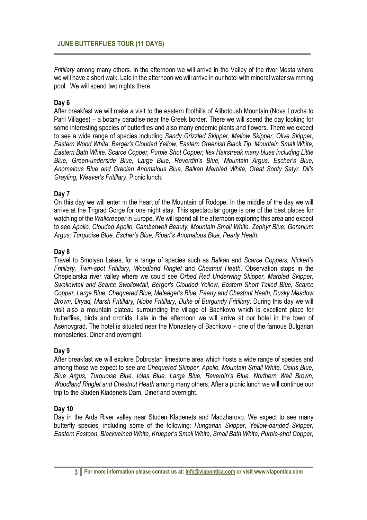*Fritillary* among many others. In the afternoon we will arrive in the Valley of the river Mesta where we will have a short walk. Late in the afternoon we will arrive in our hotel with mineral water swimming pool. We will spend two nights there.

#### **Day 6**

After breakfast we will make a visit to the eastern foothills of Alibotoush Mountain (Nova Lovcha to Paril Villages) – a botany paradise near the Greek border. There we will spend the day looking for some interesting species of butterflies and also many endemic plants and flowers. There we expect to see a wide range of species including *Sandy Grizzled Skipper, Mallow Skipper, Olive Skipper, Eastern Wood White, Berger's Clouded Yellow, Eastern Greenish Black Tip, Mountain Small White, Eastern Bath White, Scarce Copper, Purple Shot Copper, Ilex Hairstreak many blues including Little Blue, Green-underside Blue, Large Blue, Reverdin's Blue, Mountain Argus, Escher's Blue, Anomalous Blue and Grecian Anomalous Blue, Balkan Marbled White, Great Sooty Satyr, Dil's Grayling, Weaver's Fritillary*. Picnic lunch.

## **Day 7**

On this day we will enter in the heart of the Mountain of Rodope. In the middle of the day we will arrive at the Trigrad Gorge for one night stay. This spectacular gorge is one of the best places for watching of the *Wallcreeper* in Europe. We will spend all the afternoon exploring this area and expect to see *Apollo, Clouded Apollo, Camberwell Beauty, Mountain Small White, Zephyr Blue, Geranium Argus, Turquoise Blue, Escher's Blue, Ripart's Anomalous Blue, Pearly Heath.*

#### **Day 8**

Travel to Smolyan Lakes, for a range of species such as *Balkan* and *Scarce Coppers, Nickerl's Fritillary, Twin-spot Fritillary, Woodland Ringlet* and *Chestnut Heath*. Observation stops in the Chepelarska river valley where we could see *Orbed Red Underwing Skipper, Marbled Skipper, Swallowtail and Scarce Swallowtail, Berger's Clouded Yellow, Eastern Short Tailed Blue, Scarce Copper, Large Blue, Chequered Blue, Meleager's Blue, Pearly and Chestnut Heath, Dusky Meadow Brown, Dryad, Marsh Fritillary, Niobe Fritillary, Duke of Burgundy Fritillary*. During this day we will visit also a mountain plateau surrounding the village of Bachkovo which is excellent place for butterflies, birds and orchids. Late in the afternoon we will arrive at our hotel in the town of Asenovgrad. The hotel is situated near the Monastery of Bachkovo – one of the famous Bulgarian monasteries. Diner and overnight.

#### **Day 9**

After breakfast we will explore Dobrostan limestone area which hosts a wide range of species and among those we expect to see are *Chequered Skipper, Apollo, Mountain Small White, Osiris Blue, Blue Argus, Turquoise Blue, Iolas Blue, Large Blue, Reverdin's Blue, Northern Wall Brown, Woodland Ringlet and Chestnut Heath* among many others. After a picnic lunch we will continue our trip to the Studen Kladenets Dam. Diner and overnight.

#### **Day 10**

Day in the Arda River valley near Studen Kladenets and Madzharovo. We expect to see many butterfly species, including some of the following: *Hungarian Skipper, Yellow-banded Skipper, Eastern Festoon, Blackveined White, Krueper's Small White, Small Bath White, Purple-shot Copper,*